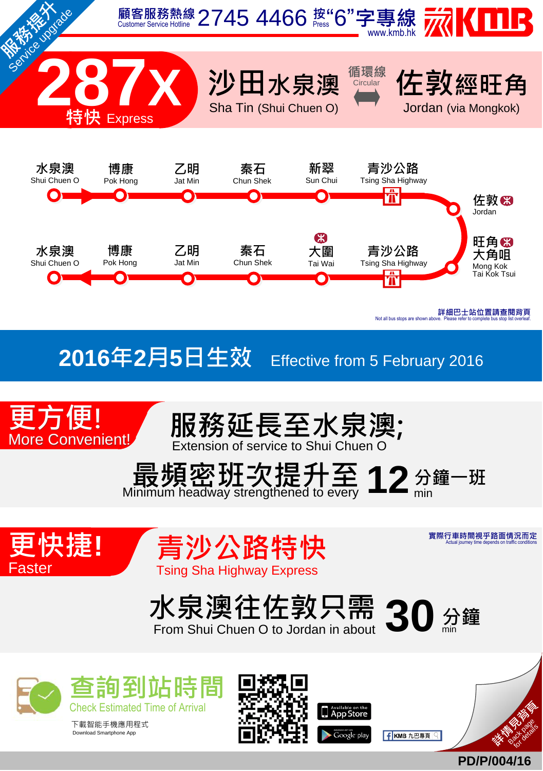

all bus stops are sho

## **2016**年**2**月**5**日生效 Effective from <sup>5</sup> February <sup>2016</sup>











實際行車時間視乎路面情況而定 Actual journey time depends on traffic conditions



From Shui Chuen O to Jordan in a



下載智能手機應用程式<br>Download Smartphone App





**大学 (1999年) 1999年** Back page f KMB 九巴專頁

**PD/P/004/16**